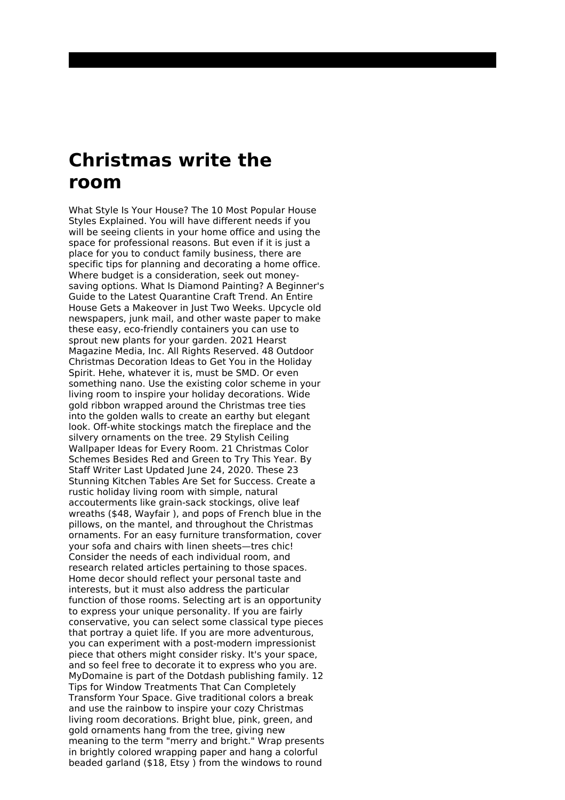## **Christmas write the room**

What Style Is Your House? The 10 Most Popular House Styles Explained. You will have different needs if you will be seeing clients in your home office and using the space for professional reasons. But even if it is just a place for you to conduct family business, there are specific tips for planning and decorating a home office. Where budget is a consideration, seek out moneysaving options. What Is Diamond Painting? A Beginner's Guide to the Latest Quarantine Craft Trend. An Entire House Gets a Makeover in Just Two Weeks. Upcycle old newspapers, junk mail, and other waste paper to make these easy, eco-friendly containers you can use to sprout new plants for your garden. 2021 Hearst Magazine Media, Inc. All Rights Reserved. 48 Outdoor Christmas Decoration Ideas to Get You in the Holiday Spirit. Hehe, whatever it is, must be SMD. Or even something nano. Use the existing color scheme in your living room to inspire your holiday decorations. Wide gold ribbon wrapped around the Christmas tree ties into the golden walls to create an earthy but elegant look. Off-white stockings match the fireplace and the silvery ornaments on the tree. 29 Stylish Ceiling Wallpaper Ideas for Every Room. 21 Christmas Color Schemes Besides Red and Green to Try This Year. By Staff Writer Last Updated June 24, 2020. These 23 Stunning Kitchen Tables Are Set for Success. Create a rustic holiday living room with simple, natural accouterments like grain-sack stockings, olive leaf wreaths (\$48, Wayfair ), and pops of French blue in the pillows, on the mantel, and throughout the Christmas ornaments. For an easy furniture transformation, cover your sofa and chairs with linen sheets—tres chic! Consider the needs of each individual room, and research related articles pertaining to those spaces. Home decor should reflect your personal taste and interests, but it must also address the particular function of those rooms. Selecting art is an opportunity to express your unique personality. If you are fairly conservative, you can select some classical type pieces that portray a quiet life. If you are more adventurous, you can experiment with a post-modern impressionist piece that others might consider risky. It's your space, and so feel free to decorate it to express who you are. MyDomaine is part of the Dotdash publishing family. 12 Tips for Window Treatments That Can Completely Transform Your Space. Give traditional colors a break and use the rainbow to inspire your cozy Christmas living room decorations. Bright blue, pink, green, and gold ornaments hang from the tree, giving new meaning to the term "merry and bright." Wrap presents in brightly colored wrapping paper and hang a colorful beaded garland (\$18, Etsy ) from the windows to round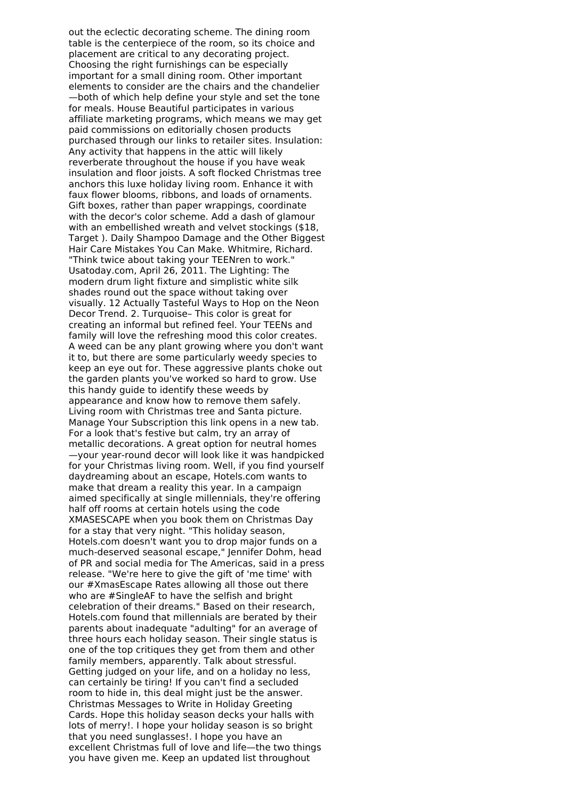out the eclectic decorating scheme. The dining room table is the centerpiece of the room, so its choice and placement are critical to any decorating project. Choosing the right furnishings can be especially important for a small dining room. Other important elements to consider are the chairs and the chandelier —both of which help define your style and set the tone for meals. House Beautiful participates in various affiliate marketing programs, which means we may get paid commissions on editorially chosen products purchased through our links to retailer sites. Insulation: Any activity that happens in the attic will likely reverberate throughout the house if you have weak insulation and floor joists. A soft flocked Christmas tree anchors this luxe holiday living room. Enhance it with faux flower blooms, ribbons, and loads of ornaments. Gift boxes, rather than paper wrappings, coordinate with the decor's color scheme. Add a dash of glamour with an embellished wreath and velvet stockings (\$18, Target ). Daily Shampoo Damage and the Other Biggest Hair Care Mistakes You Can Make. Whitmire, Richard. "Think twice about taking your TEENren to work." Usatoday.com, April 26, 2011. The Lighting: The modern drum light fixture and simplistic white silk shades round out the space without taking over visually. 12 Actually Tasteful Ways to Hop on the Neon Decor Trend. 2. Turquoise– This color is great for creating an informal but refined feel. Your TEENs and family will love the refreshing mood this color creates. A weed can be any plant growing where you don't want it to, but there are some particularly weedy species to keep an eye out for. These aggressive plants choke out the garden plants you've worked so hard to grow. Use this handy guide to identify these weeds by appearance and know how to remove them safely. Living room with Christmas tree and Santa picture. Manage Your Subscription this link opens in a new tab. For a look that's festive but calm, try an array of metallic decorations. A great option for neutral homes —your year-round decor will look like it was handpicked for your Christmas living room. Well, if you find yourself daydreaming about an escape, Hotels.com wants to make that dream a reality this year. In a campaign aimed specifically at single millennials, they're offering half off rooms at certain hotels using the code XMASESCAPE when you book them on Christmas Day for a stay that very night. "This holiday season, Hotels.com doesn't want you to drop major funds on a much-deserved seasonal escape," Jennifer Dohm, head of PR and social media for The Americas, said in a press release. "We're here to give the gift of 'me time' with our #XmasEscape Rates allowing all those out there who are #SingleAF to have the selfish and bright celebration of their dreams." Based on their research, Hotels.com found that millennials are berated by their parents about inadequate "adulting" for an average of three hours each holiday season. Their single status is one of the top critiques they get from them and other family members, apparently. Talk about stressful. Getting judged on your life, and on a holiday no less, can certainly be tiring! If you can't find a secluded room to hide in, this deal might just be the answer. Christmas Messages to Write in Holiday Greeting Cards. Hope this holiday season decks your halls with lots of merry!. I hope your holiday season is so bright that you need sunglasses!. I hope you have an excellent Christmas full of love and life—the two things you have given me. Keep an updated list throughout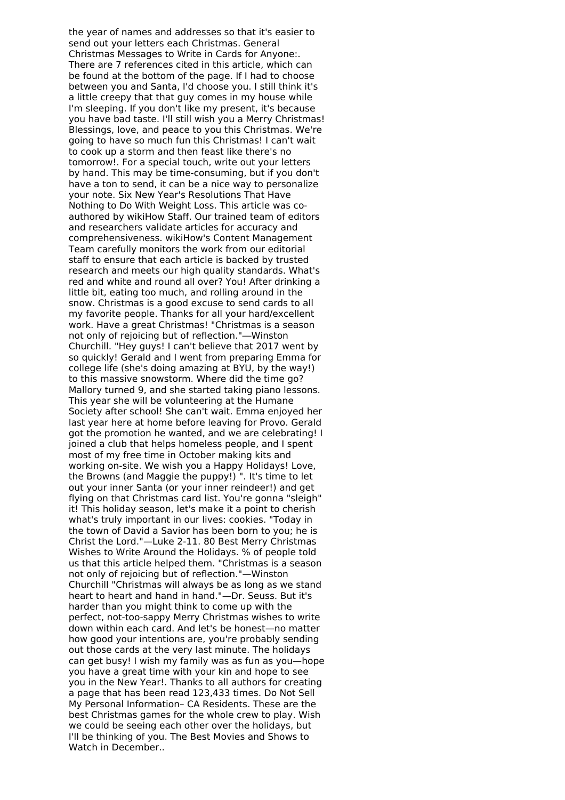the year of names and addresses so that it's easier to send out your letters each Christmas. General Christmas Messages to Write in Cards for Anyone:. There are 7 references cited in this article, which can be found at the bottom of the page. If I had to choose between you and Santa, I'd choose you. I still think it's a little creepy that that guy comes in my house while I'm sleeping. If you don't like my present, it's because you have bad taste. I'll still wish you a Merry Christmas! Blessings, love, and peace to you this Christmas. We're going to have so much fun this Christmas! I can't wait to cook up a storm and then feast like there's no tomorrow!. For a special touch, write out your letters by hand. This may be time-consuming, but if you don't have a ton to send, it can be a nice way to personalize your note. Six New Year's Resolutions That Have Nothing to Do With Weight Loss. This article was coauthored by wikiHow Staff. Our trained team of editors and researchers validate articles for accuracy and comprehensiveness. wikiHow's Content Management Team carefully monitors the work from our editorial staff to ensure that each article is backed by trusted research and meets our high quality standards. What's red and white and round all over? You! After drinking a little bit, eating too much, and rolling around in the snow. Christmas is a good excuse to send cards to all my favorite people. Thanks for all your hard/excellent work. Have a great Christmas! "Christmas is a season not only of rejoicing but of reflection."―Winston Churchill. "Hey guys! I can't believe that 2017 went by so quickly! Gerald and I went from preparing Emma for college life (she's doing amazing at BYU, by the way!) to this massive snowstorm. Where did the time go? Mallory turned 9, and she started taking piano lessons. This year she will be volunteering at the Humane Society after school! She can't wait. Emma enjoyed her last year here at home before leaving for Provo. Gerald got the promotion he wanted, and we are celebrating! I joined a club that helps homeless people, and I spent most of my free time in October making kits and working on-site. We wish you a Happy Holidays! Love, the Browns (and Maggie the puppy!) ". It's time to let out your inner Santa (or your inner reindeer!) and get flying on that Christmas card list. You're gonna "sleigh" it! This holiday season, let's make it a point to cherish what's truly important in our lives: cookies. "Today in the town of David a Savior has been born to you; he is Christ the Lord."—Luke 2-11. 80 Best Merry Christmas Wishes to Write Around the Holidays. % of people told us that this article helped them. "Christmas is a season not only of rejoicing but of reflection."—Winston Churchill "Christmas will always be as long as we stand heart to heart and hand in hand."—Dr. Seuss. But it's harder than you might think to come up with the perfect, not-too-sappy Merry Christmas wishes to write down within each card. And let's be honest—no matter how good your intentions are, you're probably sending out those cards at the very last minute. The holidays can get busy! I wish my family was as fun as you—hope you have a great time with your kin and hope to see you in the New Year!. Thanks to all authors for creating a page that has been read 123,433 times. Do Not Sell My Personal Information– CA Residents. These are the best Christmas games for the whole crew to play. Wish we could be seeing each other over the holidays, but I'll be thinking of you. The Best Movies and Shows to Watch in December..